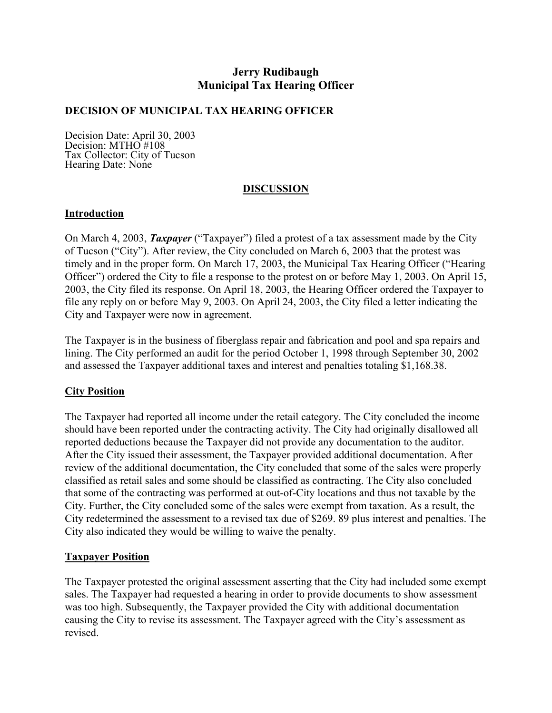# **Jerry Rudibaugh Municipal Tax Hearing Officer**

### **DECISION OF MUNICIPAL TAX HEARING OFFICER**

Decision Date: April 30, 2003 Decision: MTHO #108 Tax Collector: City of Tucson Hearing Date: None

### **DISCUSSION**

### **Introduction**

On March 4, 2003, *Taxpayer* ("Taxpayer") filed a protest of a tax assessment made by the City of Tucson ("City"). After review, the City concluded on March 6, 2003 that the protest was timely and in the proper form. On March 17, 2003, the Municipal Tax Hearing Officer ("Hearing Officer") ordered the City to file a response to the protest on or before May 1, 2003. On April 15, 2003, the City filed its response. On April 18, 2003, the Hearing Officer ordered the Taxpayer to file any reply on or before May 9, 2003. On April 24, 2003, the City filed a letter indicating the City and Taxpayer were now in agreement.

The Taxpayer is in the business of fiberglass repair and fabrication and pool and spa repairs and lining. The City performed an audit for the period October 1, 1998 through September 30, 2002 and assessed the Taxpayer additional taxes and interest and penalties totaling \$1,168.38.

#### **City Position**

The Taxpayer had reported all income under the retail category. The City concluded the income should have been reported under the contracting activity. The City had originally disallowed all reported deductions because the Taxpayer did not provide any documentation to the auditor. After the City issued their assessment, the Taxpayer provided additional documentation. After review of the additional documentation, the City concluded that some of the sales were properly classified as retail sales and some should be classified as contracting. The City also concluded that some of the contracting was performed at out-of-City locations and thus not taxable by the City. Further, the City concluded some of the sales were exempt from taxation. As a result, the City redetermined the assessment to a revised tax due of \$269. 89 plus interest and penalties. The City also indicated they would be willing to waive the penalty.

## **Taxpayer Position**

The Taxpayer protested the original assessment asserting that the City had included some exempt sales. The Taxpayer had requested a hearing in order to provide documents to show assessment was too high. Subsequently, the Taxpayer provided the City with additional documentation causing the City to revise its assessment. The Taxpayer agreed with the City's assessment as revised.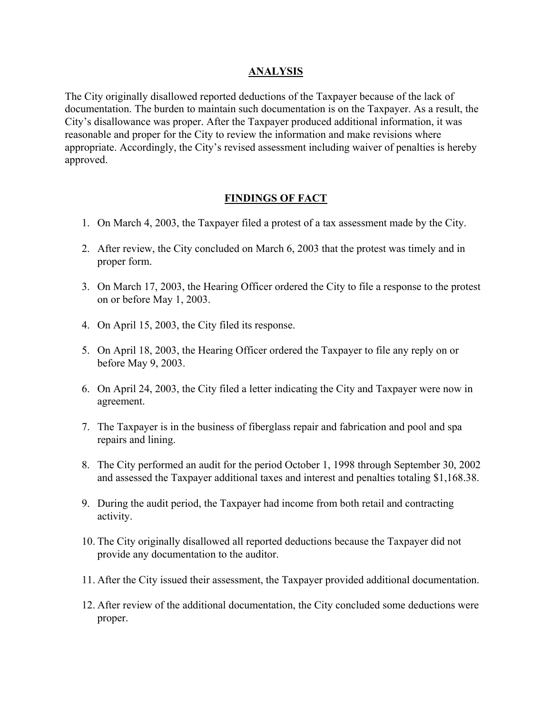#### **ANALYSIS**

The City originally disallowed reported deductions of the Taxpayer because of the lack of documentation. The burden to maintain such documentation is on the Taxpayer. As a result, the City's disallowance was proper. After the Taxpayer produced additional information, it was reasonable and proper for the City to review the information and make revisions where appropriate. Accordingly, the City's revised assessment including waiver of penalties is hereby approved.

## **FINDINGS OF FACT**

- 1. On March 4, 2003, the Taxpayer filed a protest of a tax assessment made by the City.
- 2. After review, the City concluded on March 6, 2003 that the protest was timely and in proper form.
- 3. On March 17, 2003, the Hearing Officer ordered the City to file a response to the protest on or before May 1, 2003.
- 4. On April 15, 2003, the City filed its response.
- 5. On April 18, 2003, the Hearing Officer ordered the Taxpayer to file any reply on or before May 9, 2003.
- 6. On April 24, 2003, the City filed a letter indicating the City and Taxpayer were now in agreement.
- 7. The Taxpayer is in the business of fiberglass repair and fabrication and pool and spa repairs and lining.
- 8. The City performed an audit for the period October 1, 1998 through September 30, 2002 and assessed the Taxpayer additional taxes and interest and penalties totaling \$1,168.38.
- 9. During the audit period, the Taxpayer had income from both retail and contracting activity.
- 10. The City originally disallowed all reported deductions because the Taxpayer did not provide any documentation to the auditor.
- 11. After the City issued their assessment, the Taxpayer provided additional documentation.
- 12. After review of the additional documentation, the City concluded some deductions were proper.